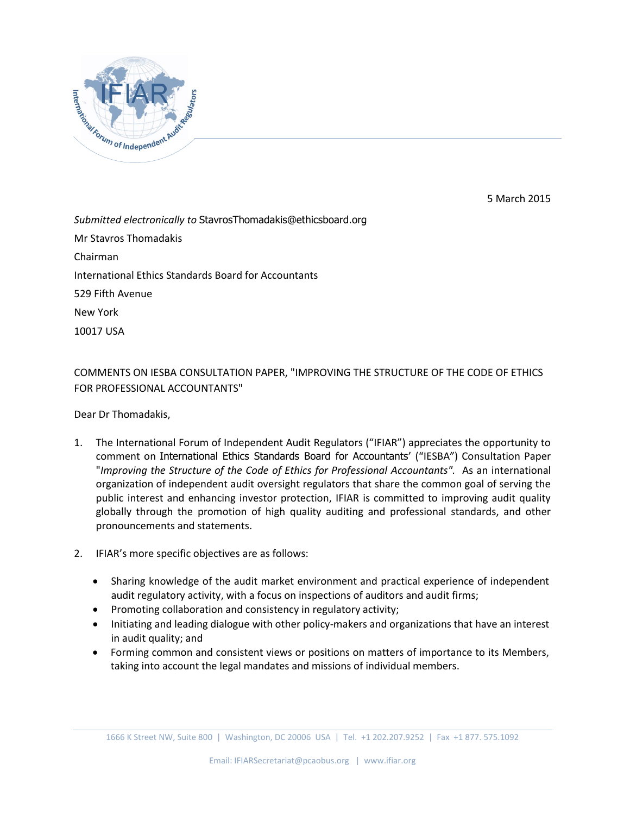

5 March 2015

*Submitted electronically to* StavrosThomadakis@ethicsboard.org Mr Stavros Thomadakis Chairman International Ethics Standards Board for Accountants 529 Fifth Avenue New York 10017 USA

COMMENTS ON IESBA CONSULTATION PAPER, "IMPROVING THE STRUCTURE OF THE CODE OF ETHICS FOR PROFESSIONAL ACCOUNTANTS"

Dear Dr Thomadakis,

- 1. The International Forum of Independent Audit Regulators ("IFIAR") appreciates the opportunity to comment on International Ethics Standards Board for Accountants' ("IESBA") Consultation Paper "*Improving the Structure of the Code of Ethics for Professional Accountants".* As an international organization of independent audit oversight regulators that share the common goal of serving the public interest and enhancing investor protection, IFIAR is committed to improving audit quality globally through the promotion of high quality auditing and professional standards, and other pronouncements and statements.
- 2. IFIAR's more specific objectives are as follows:
	- Sharing knowledge of the audit market environment and practical experience of independent audit regulatory activity, with a focus on inspections of auditors and audit firms;
	- Promoting collaboration and consistency in regulatory activity;
	- Initiating and leading dialogue with other policy-makers and organizations that have an interest in audit quality; and
	- Forming common and consistent views or positions on matters of importance to its Members, taking into account the legal mandates and missions of individual members.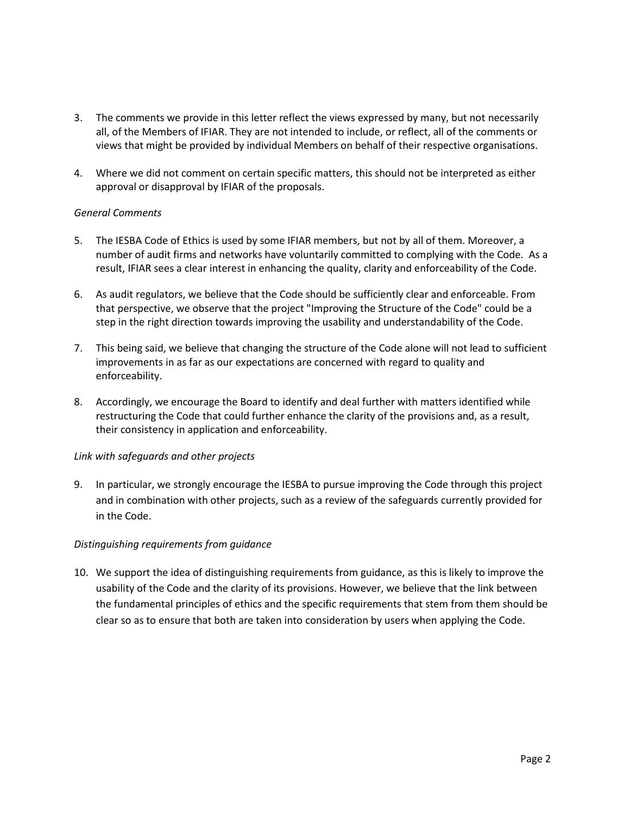- 3. The comments we provide in this letter reflect the views expressed by many, but not necessarily all, of the Members of IFIAR. They are not intended to include, or reflect, all of the comments or views that might be provided by individual Members on behalf of their respective organisations.
- 4. Where we did not comment on certain specific matters, this should not be interpreted as either approval or disapproval by IFIAR of the proposals.

### *General Comments*

- 5. The IESBA Code of Ethics is used by some IFIAR members, but not by all of them. Moreover, a number of audit firms and networks have voluntarily committed to complying with the Code. As a result, IFIAR sees a clear interest in enhancing the quality, clarity and enforceability of the Code.
- 6. As audit regulators, we believe that the Code should be sufficiently clear and enforceable. From that perspective, we observe that the project "Improving the Structure of the Code" could be a step in the right direction towards improving the usability and understandability of the Code.
- 7. This being said, we believe that changing the structure of the Code alone will not lead to sufficient improvements in as far as our expectations are concerned with regard to quality and enforceability.
- 8. Accordingly, we encourage the Board to identify and deal further with matters identified while restructuring the Code that could further enhance the clarity of the provisions and, as a result, their consistency in application and enforceability.

### *Link with safeguards and other projects*

9. In particular, we strongly encourage the IESBA to pursue improving the Code through this project and in combination with other projects, such as a review of the safeguards currently provided for in the Code.

### *Distinguishing requirements from guidance*

10. We support the idea of distinguishing requirements from guidance, as this is likely to improve the usability of the Code and the clarity of its provisions. However, we believe that the link between the fundamental principles of ethics and the specific requirements that stem from them should be clear so as to ensure that both are taken into consideration by users when applying the Code.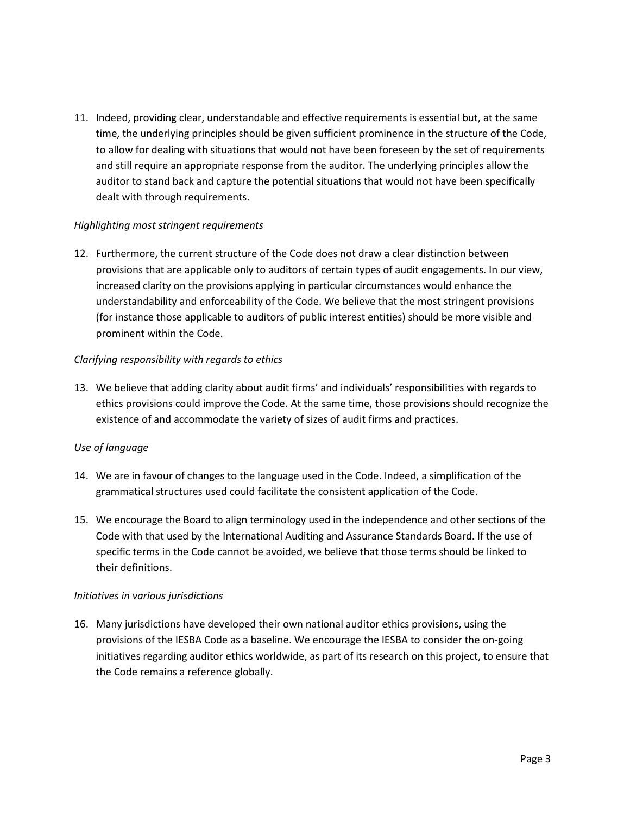11. Indeed, providing clear, understandable and effective requirements is essential but, at the same time, the underlying principles should be given sufficient prominence in the structure of the Code, to allow for dealing with situations that would not have been foreseen by the set of requirements and still require an appropriate response from the auditor. The underlying principles allow the auditor to stand back and capture the potential situations that would not have been specifically dealt with through requirements.

### *Highlighting most stringent requirements*

12. Furthermore, the current structure of the Code does not draw a clear distinction between provisions that are applicable only to auditors of certain types of audit engagements. In our view, increased clarity on the provisions applying in particular circumstances would enhance the understandability and enforceability of the Code. We believe that the most stringent provisions (for instance those applicable to auditors of public interest entities) should be more visible and prominent within the Code.

## *Clarifying responsibility with regards to ethics*

13. We believe that adding clarity about audit firms' and individuals' responsibilities with regards to ethics provisions could improve the Code. At the same time, those provisions should recognize the existence of and accommodate the variety of sizes of audit firms and practices.

# *Use of language*

- 14. We are in favour of changes to the language used in the Code. Indeed, a simplification of the grammatical structures used could facilitate the consistent application of the Code.
- 15. We encourage the Board to align terminology used in the independence and other sections of the Code with that used by the International Auditing and Assurance Standards Board. If the use of specific terms in the Code cannot be avoided, we believe that those terms should be linked to their definitions.

### *Initiatives in various jurisdictions*

16. Many jurisdictions have developed their own national auditor ethics provisions, using the provisions of the IESBA Code as a baseline. We encourage the IESBA to consider the on-going initiatives regarding auditor ethics worldwide, as part of its research on this project, to ensure that the Code remains a reference globally.